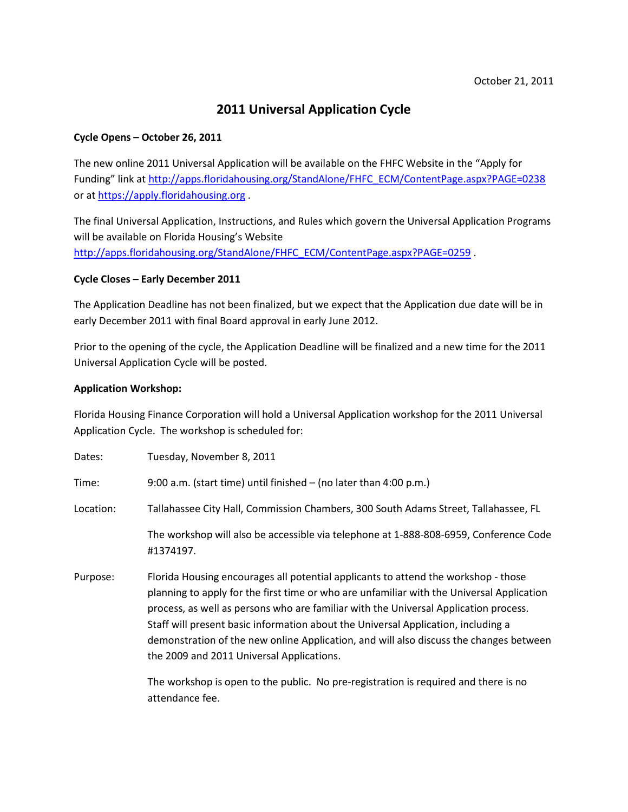## **2011 Universal Application Cycle**

## **Cycle Opens – October 26, 2011**

The new online 2011 Universal Application will be available on the FHFC Website in the "Apply for Funding" link a[t http://apps.floridahousing.org/StandAlone/FHFC\\_ECM/ContentPage.aspx?PAGE=0238](http://apps.floridahousing.org/StandAlone/FHFC_ECM/ContentPage.aspx?PAGE=0238) or a[t https://apply.floridahousing.org](https://apply.floridahousing.org/).

The final Universal Application, Instructions, and Rules which govern the Universal Application Programs will be available on Florida Housing's Website [http://apps.floridahousing.org/StandAlone/FHFC\\_ECM/ContentPage.aspx?PAGE=0259](http://apps.floridahousing.org/StandAlone/FHFC_ECM/ContentPage.aspx?PAGE=0259) .

## **Cycle Closes – Early December 2011**

The Application Deadline has not been finalized, but we expect that the Application due date will be in early December 2011 with final Board approval in early June 2012.

Prior to the opening of the cycle, the Application Deadline will be finalized and a new time for the 2011 Universal Application Cycle will be posted.

## **Application Workshop:**

Florida Housing Finance Corporation will hold a Universal Application workshop for the 2011 Universal Application Cycle. The workshop is scheduled for:

| Dates:    | Tuesday, November 8, 2011                                                                                                                                                                                                                                                                                                                                                                                                                                                                           |
|-----------|-----------------------------------------------------------------------------------------------------------------------------------------------------------------------------------------------------------------------------------------------------------------------------------------------------------------------------------------------------------------------------------------------------------------------------------------------------------------------------------------------------|
| Time:     | 9:00 a.m. (start time) until finished $-$ (no later than 4:00 p.m.)                                                                                                                                                                                                                                                                                                                                                                                                                                 |
| Location: | Tallahassee City Hall, Commission Chambers, 300 South Adams Street, Tallahassee, FL                                                                                                                                                                                                                                                                                                                                                                                                                 |
|           | The workshop will also be accessible via telephone at 1-888-808-6959, Conference Code<br>#1374197.                                                                                                                                                                                                                                                                                                                                                                                                  |
| Purpose:  | Florida Housing encourages all potential applicants to attend the workshop - those<br>planning to apply for the first time or who are unfamiliar with the Universal Application<br>process, as well as persons who are familiar with the Universal Application process.<br>Staff will present basic information about the Universal Application, including a<br>demonstration of the new online Application, and will also discuss the changes between<br>the 2009 and 2011 Universal Applications. |
|           |                                                                                                                                                                                                                                                                                                                                                                                                                                                                                                     |

The workshop is open to the public. No pre-registration is required and there is no attendance fee.